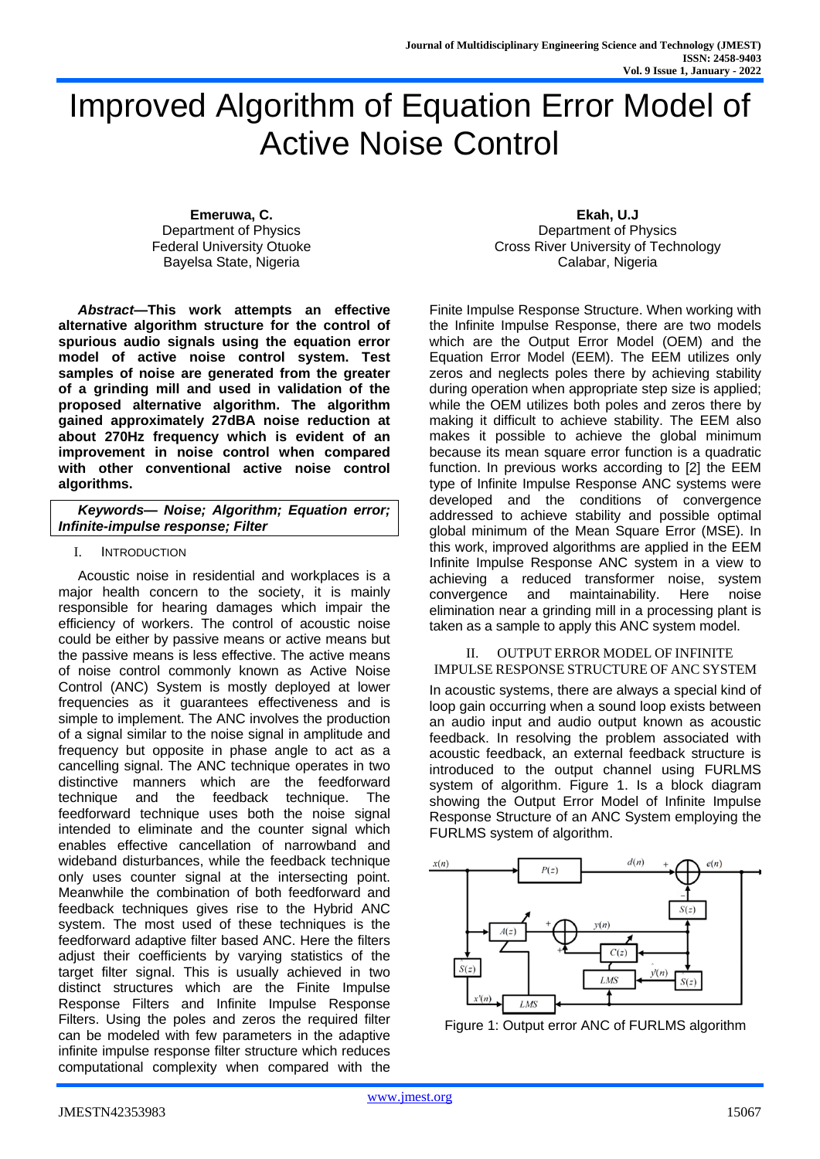# Improved Algorithm of Equation Error Model of Active Noise Control

**Emeruwa, C.** Department of Physics Federal University Otuoke Bayelsa State, Nigeria

*Abstract***—This work attempts an effective alternative algorithm structure for the control of spurious audio signals using the equation error model of active noise control system. Test samples of noise are generated from the greater of a grinding mill and used in validation of the proposed alternative algorithm. The algorithm gained approximately 27dBA noise reduction at about 270Hz frequency which is evident of an improvement in noise control when compared with other conventional active noise control algorithms.**

| Keywords-- Noise; Algorithm; Equation error; |  |  |  |  |
|----------------------------------------------|--|--|--|--|
| Infinite-impulse response; Filter            |  |  |  |  |

#### I. INTRODUCTION

Acoustic noise in residential and workplaces is a major health concern to the society, it is mainly responsible for hearing damages which impair the efficiency of workers. The control of acoustic noise could be either by passive means or active means but the passive means is less effective. The active means of noise control commonly known as Active Noise Control (ANC) System is mostly deployed at lower frequencies as it guarantees effectiveness and is simple to implement. The ANC involves the production of a signal similar to the noise signal in amplitude and frequency but opposite in phase angle to act as a cancelling signal. The ANC technique operates in two distinctive manners which are the feedforward technique and the feedback technique. The feedforward technique uses both the noise signal intended to eliminate and the counter signal which enables effective cancellation of narrowband and wideband disturbances, while the feedback technique only uses counter signal at the intersecting point. Meanwhile the combination of both feedforward and feedback techniques gives rise to the Hybrid ANC system. The most used of these techniques is the feedforward adaptive filter based ANC. Here the filters adjust their coefficients by varying statistics of the target filter signal. This is usually achieved in two distinct structures which are the Finite Impulse Response Filters and Infinite Impulse Response Filters. Using the poles and zeros the required filter can be modeled with few parameters in the adaptive infinite impulse response filter structure which reduces computational complexity when compared with the

**Ekah, U.J** Department of Physics Cross River University of Technology Calabar, Nigeria

Finite Impulse Response Structure. When working with the Infinite Impulse Response, there are two models which are the Output Error Model (OEM) and the Equation Error Model (EEM). The EEM utilizes only zeros and neglects poles there by achieving stability during operation when appropriate step size is applied; while the OEM utilizes both poles and zeros there by making it difficult to achieve stability. The EEM also makes it possible to achieve the global minimum because its mean square error function is a quadratic function. In previous works according to [2] the EEM type of Infinite Impulse Response ANC systems were developed and the conditions of convergence addressed to achieve stability and possible optimal global minimum of the Mean Square Error (MSE). In this work, improved algorithms are applied in the EEM Infinite Impulse Response ANC system in a view to achieving a reduced transformer noise, system convergence and maintainability. Here noise elimination near a grinding mill in a processing plant is taken as a sample to apply this ANC system model.

# II. OUTPUT ERROR MODEL OF INFINITE

IMPULSE RESPONSE STRUCTURE OF ANC SYSTEM In acoustic systems, there are always a special kind of loop gain occurring when a sound loop exists between an audio input and audio output known as acoustic feedback. In resolving the problem associated with acoustic feedback, an external feedback structure is introduced to the output channel using FURLMS system of algorithm. Figure 1. Is a block diagram showing the Output Error Model of Infinite Impulse Response Structure of an ANC System employing the FURLMS system of algorithm.



Figure 1: Output error ANC of FURLMS algorithm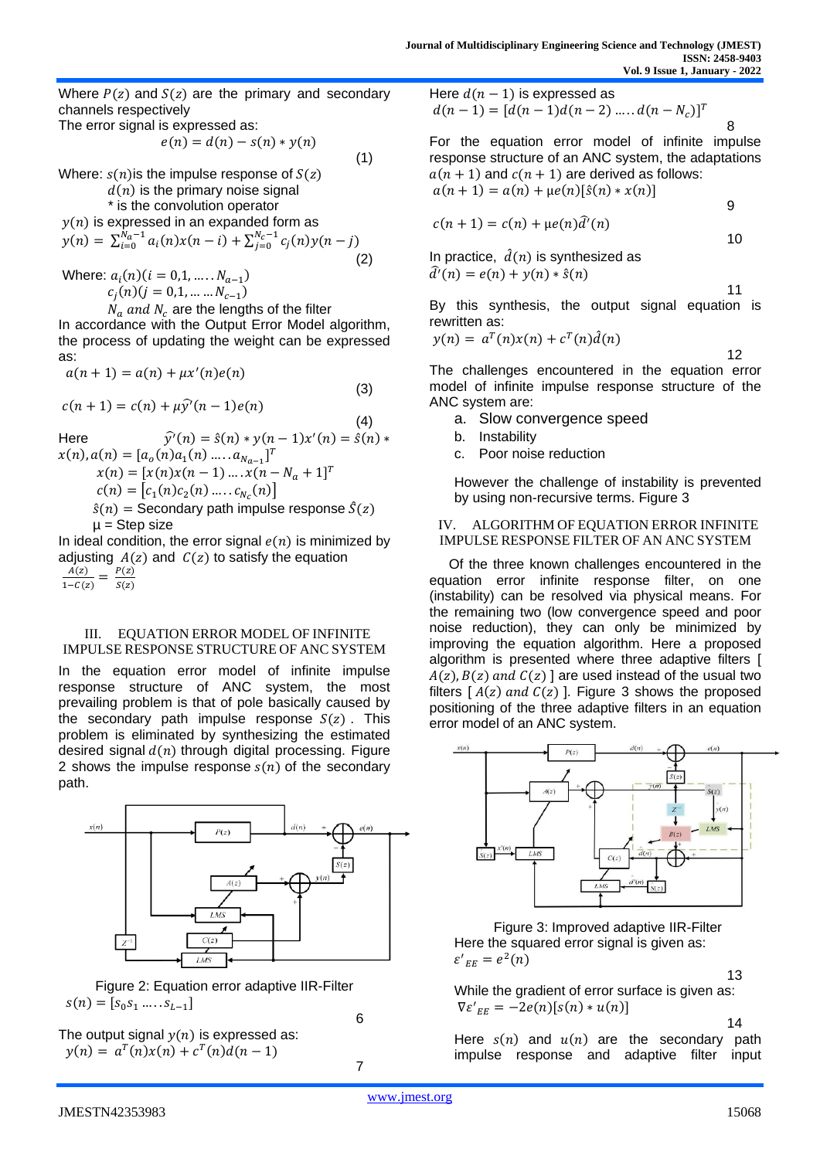Where  $P(z)$  and  $S(z)$  are the primary and secondary channels respectively

The error signal is expressed as:

$$
e(n) = d(n) - s(n) * y(n)
$$
\n(1)

Where:  $s(n)$  is the impulse response of  $S(z)$ 

 $d(n)$  is the primary noise signal

\* is the convolution operator

$$
y(n) \text{ is expressed in an expanded form as} y(n) = \sum_{i=0}^{N_a - 1} a_i(n)x(n - i) + \sum_{j=0}^{N_c - 1} c_j(n)y(n - j)
$$
 (2)

Where:  $a_i(n)$  ( $i = 0, 1, ..., N_{a-1}$ )  $c_j(n)(j = 0, 1, \dots \dots N_{c-1})$ 

 $N_a$  and  $N_c$  are the lengths of the filter In accordance with the Output Error Model algorithm, the process of updating the weight can be expressed as:

$$
a(n + 1) = a(n) + \mu x'(n)e(n)
$$

$$
c(n+1) = c(n) + \mu \hat{y}^{\dagger}(n-1)e(n)
$$

(4) Here  $\hat{y'}(n) = \hat{s}(n) * y(n-1)x'(n) = \hat{s}(n) *$  $x(n), a(n) = [a_o(n)a_1(n) \dots a_{N_{a-1}}]^T$  $x(n) = [x(n)x(n - 1) ... x(n - N_a + 1]^T$  $c(n) = [c_1(n)c_2(n) .... c_{N_c}(n)]$  $\hat{s}(n)$  = Secondary path impulse response  $\hat{S}(z)$  $\mu$  = Step size

In ideal condition, the error signal  $e(n)$  is minimized by adjusting  $A(z)$  and  $C(z)$  to satisfy the equation  $A(z)$  $\frac{A(z)}{1-C(z)} = \frac{P(z)}{S(z)}$  $\frac{F(z)}{S(z)}$ 

#### III. EQUATION ERROR MODEL OF INFINITE IMPULSE RESPONSE STRUCTURE OF ANC SYSTEM

In the equation error model of infinite impulse response structure of ANC system, the most prevailing problem is that of pole basically caused by the secondary path impulse response  $S(z)$ . This problem is eliminated by synthesizing the estimated desired signal  $d(n)$  through digital processing. Figure 2 shows the impulse response  $s(n)$  of the secondary path.



Figure 2: Equation error adaptive IIR-Filter  $s(n) = [s_0 s_1 \dots s_{L-1}]$ 

6

7

The output signal  $y(n)$  is expressed as:  $y(n) = a^T(n)x(n) + c^T(n)d(n-1)$ 

Here  $d(n - 1)$  is expressed as  $d(n-1) = [d(n-1)d(n-2) \dots d(n-N_c)]^T$ 

For the equation error model of infinite impulse response structure of an ANC system, the adaptations  $a(n + 1)$  and  $c(n + 1)$  are derived as follows:  $a(n + 1) = a(n) + \mu e(n)[\hat{s}(n) * x(n)]$ 

$$
c(n+1) = c(n) + \mu e(n)\hat{d}'(n)
$$

In practice,  $\hat{d}(n)$  is synthesized as  $\hat{d}'(n) = e(n) + y(n) * \hat{s}(n)$ 

11 By this synthesis, the output signal equation is

8

9

10

$$
y(n) = a^T(n)x(n) + c^T(n)\hat{d}(n)
$$

12 The challenges encountered in the equation error model of infinite impulse response structure of the ANC system are:

- a. Slow convergence speed
- b. Instability

rewritten as:

(3)

c. Poor noise reduction

However the challenge of instability is prevented by using non-recursive terms. Figure 3

#### IV. ALGORITHM OF EQUATION ERROR INFINITE IMPULSE RESPONSE FILTER OF AN ANC SYSTEM

Of the three known challenges encountered in the equation error infinite response filter, on one (instability) can be resolved via physical means. For the remaining two (low convergence speed and poor noise reduction), they can only be minimized by improving the equation algorithm. Here a proposed algorithm is presented where three adaptive filters [  $A(z)$ ,  $B(z)$  and  $C(z)$  are used instead of the usual two filters  $[A(z)$  and  $C(z)$  ]. Figure 3 shows the proposed positioning of the three adaptive filters in an equation error model of an ANC system.



Figure 3: Improved adaptive IIR-Filter Here the squared error signal is given as:  $\varepsilon'_{EE} = e^2(n)$ 

13

While the gradient of error surface is given as:  $\nabla \varepsilon'_{EE} = -2e(n)[s(n) * u(n)]$ 

14

Here  $s(n)$  and  $u(n)$  are the secondary path impulse response and adaptive filter input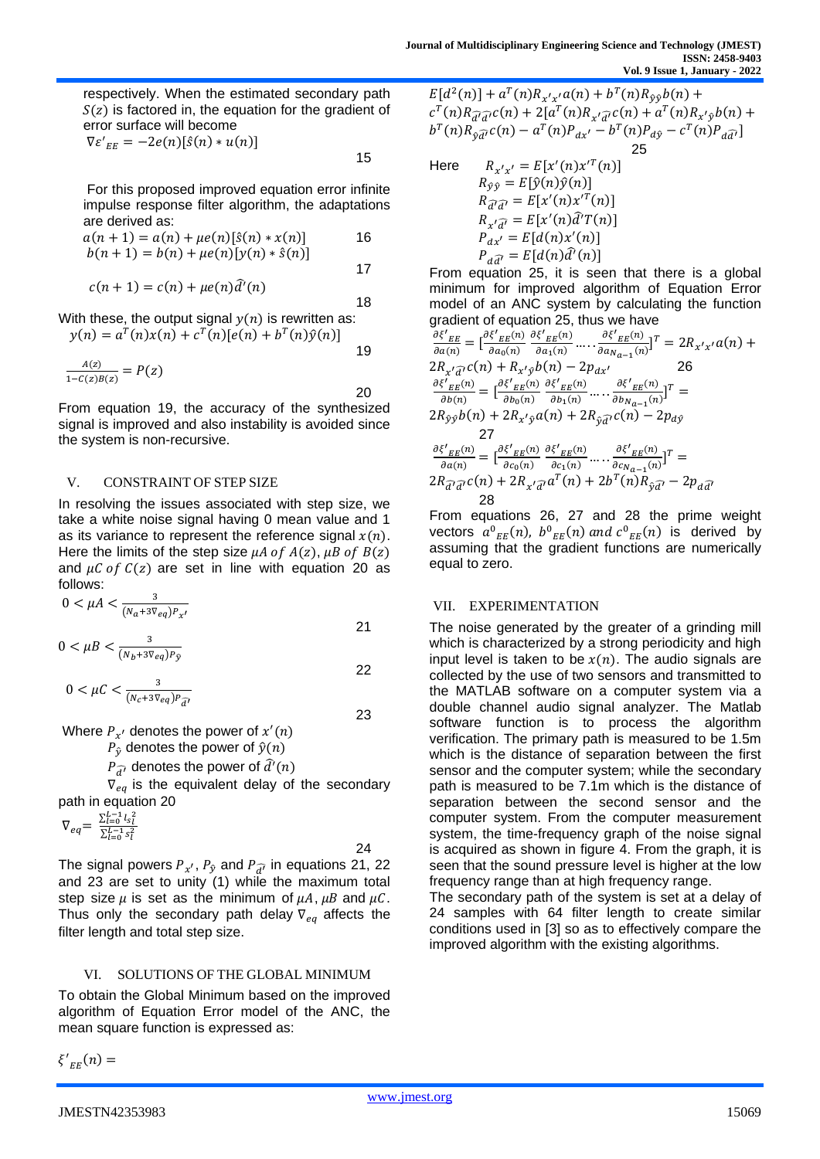respectively. When the estimated secondary path  $S(z)$  is factored in, the equation for the gradient of error surface will become

$$
\nabla \varepsilon'_{EE} = -2e(n)[\hat{s}(n) * u(n)]
$$

For this proposed improved equation error infinite impulse response filter algorithm, the adaptations are derived as:

$$
a(n + 1) = a(n) + \mu e(n)[\hat{s}(n) * x(n)]
$$
  
\n
$$
b(n + 1) = b(n) + \mu e(n)[y(n) * \hat{s}(n)]
$$
 17

$$
c(n+1) = c(n) + \mu e(n)\hat{d}'(n)
$$

18 With these, the output signal  $y(n)$  is rewritten as:  $y(n) = a^{T}(n)x(n) + c^{T}(n)[e(n) + b^{T}(n)\hat{y}(n)]$ 

$$
\frac{A(z)}{1 - C(z)B(z)} = P(z)
$$

20 From equation 19, the accuracy of the synthesized signal is improved and also instability is avoided since the system is non-recursive.

#### V. CONSTRAINT OF STEP SIZE

In resolving the issues associated with step size, we take a white noise signal having 0 mean value and 1 as its variance to represent the reference signal  $x(n)$ . Here the limits of the step size  $\mu A$  of  $A(z)$ ,  $\mu B$  of  $B(z)$ and  $\mu$ C of C(z) are set in line with equation 20 as follows:

$$
0 < \mu A < \frac{3}{(N_a + 3\nabla_{eq})P_{x'}}
$$

$$
0 < \mu B < \frac{3}{(N_b + 3\nabla_{eq})P_{\hat{y}}}
$$

$$
0 < \mu \mathcal{C} < \frac{3}{(N_c + 3\nabla_{eq})P_{\widehat{d'}}}
$$
\n23

Where  $P_{x'}$  denotes the power of  $x'(n)$ 

 $P_{\hat{v}}$  denotes the power of  $\hat{y}(n)$ 

 $P_{\widehat{d'}}$  denotes the power of  $\widehat{d'}(n)$ 

 $\nabla_{eq}$  is the equivalent delay of the secondary path in equation 20

$$
\nabla_{eq} = \frac{\sum_{l=0}^{L-1} l_s^2}{\sum_{l=0}^{L-1} s_l^2}
$$

The signal powers  $P_{x'}, P_{\hat{y}}$  and  $P_{\widehat{d'}}$  in equations 21, 22 and 23 are set to unity (1) while the maximum total step size  $\mu$  is set as the minimum of  $\mu A$ ,  $\mu B$  and  $\mu C$ . Thus only the secondary path delay  $\nabla_{ea}$  affects the filter length and total step size.

#### VI. SOLUTIONS OF THE GLOBAL MINIMUM

To obtain the Global Minimum based on the improved algorithm of Equation Error model of the ANC, the mean square function is expressed as:

 $\zeta'_{EE}(n) =$ 

 $E[d^2(n)] + a^T(n)R_{x'x'}a(n) + b^T(n)R_{\hat{y}\hat{y}}b(n) +$  $c^{T}(n)R_{\widehat{d'}\widehat{d'}}c(n) + 2[a^{T}(n)R_{x'\widehat{d'}}c(n) + a^{T}(n)R_{x'\widehat{y}}b(n) +$  $b^{T}(n)R_{\hat{y}\hat{d}}c(n) - a^{T}(n)P_{dx'} - b^{T}(n)P_{d\hat{y}} - c^{T}(n)P_{d\hat{d}}$ 25

Here 
$$
R_{x'x'} = E[x'(n)x'^T(n)]
$$

$$
R_{\hat{y}\hat{y}} = E[\hat{y}(n)\hat{y}(n)]
$$

$$
R_{\hat{d}}\hat{a'} = E[x'(n)x'^T(n)]
$$

$$
R_{x'\hat{d}'} = E[x'(n)\hat{d}'T(n)]
$$

$$
P_{ax'} = E[d(n)x'(n)]
$$

$$
P_{a\hat{d}'} = E[d(n)\hat{d}'(n)]
$$

From equation 25, it is seen that there is a global minimum for improved algorithm of Equation Error model of an ANC system by calculating the function gradient of equation 25, thus we have

$$
\frac{\partial \xi'_{EE}}{\partial a(n)} = \left[\frac{\partial \xi'_{EE}(n)}{\partial a_0(n)} \frac{\partial \xi'_{EE}(n)}{\partial a_1(n)} \dots \frac{\partial \xi'_{EE}(n)}{\partial a_{Na-1}(n)}\right]^T = 2R_{x'x'}a(n) + 2R_{x'\overline{a}'}c(n) + R_{x'\overline{y}}b(n) - 2p_{dx'}
$$
\n
$$
\frac{\partial \xi'_{EE}(n)}{\partial b(n)} = \left[\frac{\partial \xi'_{EE}(n)}{\partial b_0(n)} \frac{\partial \xi'_{EE}(n)}{\partial b_1(n)} \dots \frac{\partial \xi'_{EE}(n)}{\partial b_{Na-1}(n)}\right]^T = 2R_{\hat{y}\hat{y}}b(n) + 2R_{x'\hat{y}}a(n) + 2R_{\hat{y}\overline{a}'}c(n) - 2p_{d\hat{y}}
$$
\n
$$
\frac{27}{\partial a(n)} = \left[\frac{\partial \xi'_{EE}(n)}{\partial c_0(n)} \frac{\partial \xi'_{EE}(n)}{\partial c_1(n)} \dots \frac{\partial \xi'_{EE}(n)}{\partial c_{Na-1}(n)}\right]^T = 2R_{\overline{a'}\overline{a}'}c(n) + 2R_{x'\overline{a}'}a^T(n) + 2b^T(n)R_{\hat{y}\overline{a}'} - 2p_{d\overline{a'}}
$$
\n
$$
\frac{28}{\overline{a'}}
$$

From equations 26, 27 and 28 the prime weight vectors  $a^0{}_{EE}(n)$ ,  $b^0{}_{EE}(n)$  and  $c^0{}_{EE}(n)$  is derived by assuming that the gradient functions are numerically equal to zero.

# VII. EXPERIMENTATION

The noise generated by the greater of a grinding mill which is characterized by a strong periodicity and high input level is taken to be  $x(n)$ . The audio signals are collected by the use of two sensors and transmitted to the MATLAB software on a computer system via a double channel audio signal analyzer. The Matlab software function is to process the algorithm verification. The primary path is measured to be 1.5m which is the distance of separation between the first sensor and the computer system; while the secondary path is measured to be 7.1m which is the distance of separation between the second sensor and the computer system. From the computer measurement system, the time-frequency graph of the noise signal is acquired as shown in figure 4. From the graph, it is seen that the sound pressure level is higher at the low frequency range than at high frequency range.

The secondary path of the system is set at a delay of 24 samples with 64 filter length to create similar conditions used in [3] so as to effectively compare the improved algorithm with the existing algorithms.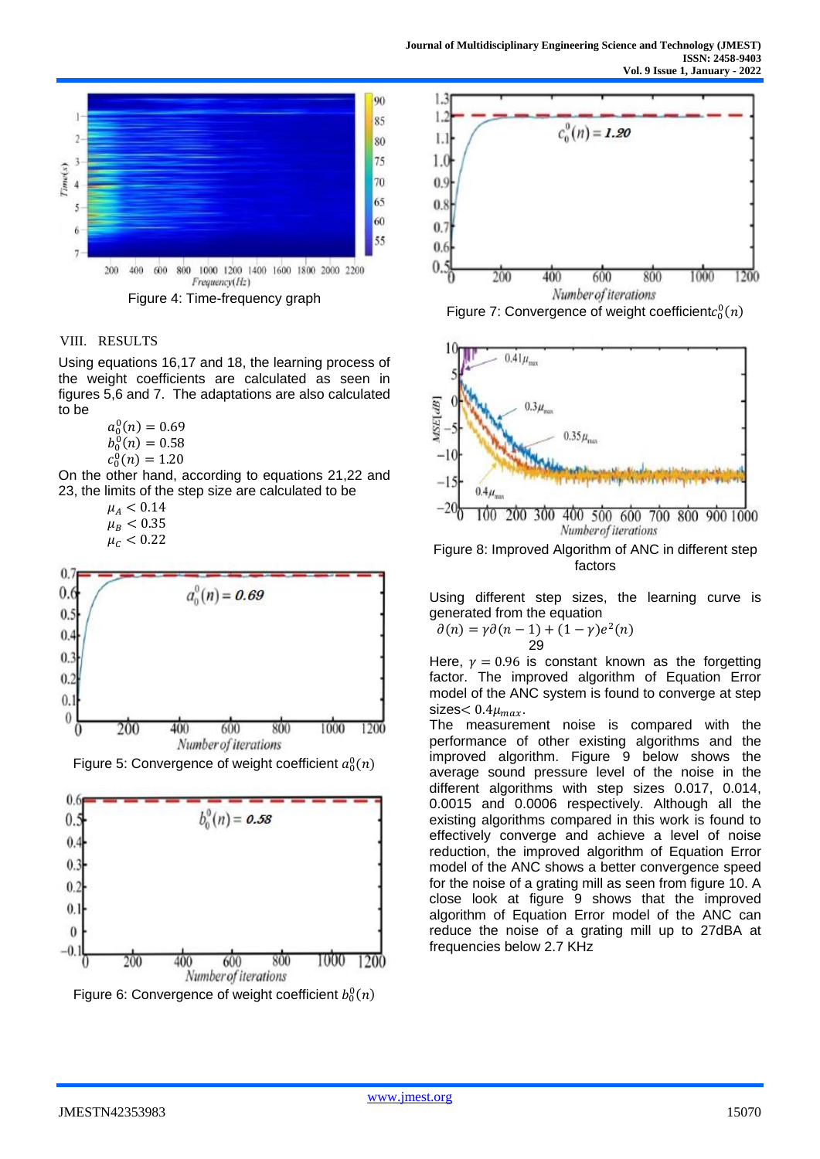

### VIII. RESULTS

Using equations 16,17 and 18, the learning process of the weight coefficients are calculated as seen in figures 5,6 and 7. The adaptations are also calculated to be

> $a_0^0(n) = 0.69$  $b_0^0(n) = 0.58$  $c_0^0(n) = 1.20$

On the other hand, according to equations 21,22 and 23, the limits of the step size are calculated to be

> $\mu_A < 0.14$  $\mu_B < 0.35$  $\mu_{C} < 0.22$



Figure 5: Convergence of weight coefficient  $a_0^0(n)$ 







Figure 7: Convergence of weight coefficient $c_0^0(n)$ 



Figure 8: Improved Algorithm of ANC in different step factors

Using different step sizes, the learning curve is generated from the equation

$$
\partial(n) = \gamma \partial(n-1) + (1-\gamma)e^{2}(n)
$$
  
29

Here,  $y = 0.96$  is constant known as the forgetting factor. The improved algorithm of Equation Error model of the ANC system is found to converge at step sizes $< 0.4 \mu_{max}$ .

The measurement noise is compared with the performance of other existing algorithms and the improved algorithm. Figure 9 below shows the average sound pressure level of the noise in the different algorithms with step sizes 0.017, 0.014, 0.0015 and 0.0006 respectively. Although all the existing algorithms compared in this work is found to effectively converge and achieve a level of noise reduction, the improved algorithm of Equation Error model of the ANC shows a better convergence speed for the noise of a grating mill as seen from figure 10. A close look at figure 9 shows that the improved algorithm of Equation Error model of the ANC can reduce the noise of a grating mill up to 27dBA at frequencies below 2.7 KHz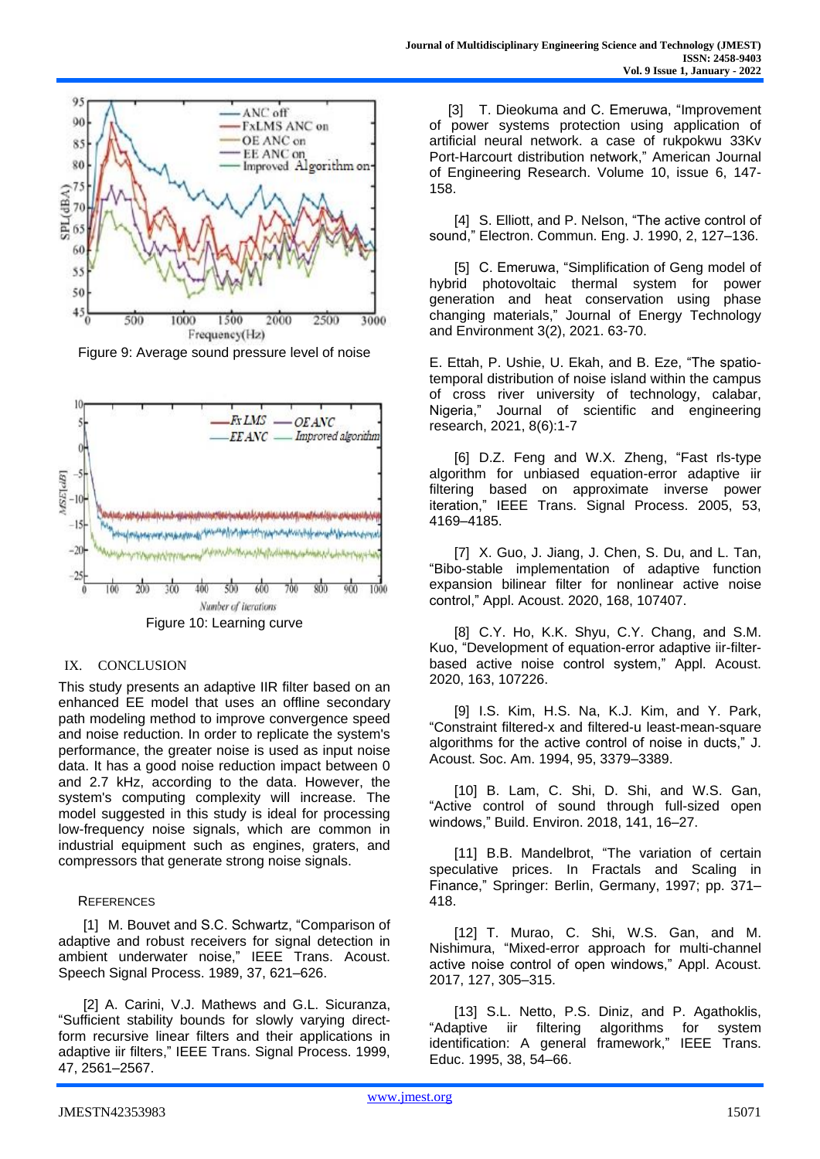

Figure 9: Average sound pressure level of noise



# IX. CONCLUSION

This study presents an adaptive IIR filter based on an enhanced EE model that uses an offline secondary path modeling method to improve convergence speed and noise reduction. In order to replicate the system's performance, the greater noise is used as input noise data. It has a good noise reduction impact between 0 and 2.7 kHz, according to the data. However, the system's computing complexity will increase. The model suggested in this study is ideal for processing low-frequency noise signals, which are common in industrial equipment such as engines, graters, and compressors that generate strong noise signals.

#### **REFERENCES**

[1] M. Bouvet and S.C. Schwartz, "Comparison of adaptive and robust receivers for signal detection in ambient underwater noise," IEEE Trans. Acoust. Speech Signal Process. 1989, 37, 621–626.

[2] A. Carini, V.J. Mathews and G.L. Sicuranza, "Sufficient stability bounds for slowly varying directform recursive linear filters and their applications in adaptive iir filters," IEEE Trans. Signal Process. 1999, 47, 2561–2567.

[3] T. Dieokuma and C. Emeruwa, "Improvement of power systems protection using application of artificial neural network. a case of rukpokwu 33Kv Port-Harcourt distribution network," American Journal of Engineering Research. Volume 10, issue 6, 147- 158.

[4] S. Elliott, and P. Nelson, "The active control of sound," Electron. Commun. Eng. J. 1990, 2, 127–136.

[5] C. Emeruwa, "Simplification of Geng model of hybrid photovoltaic thermal system for power generation and heat conservation using phase changing materials," Journal of Energy Technology and Environment 3(2), 2021. 63-70.

E. Ettah, P. Ushie, U. Ekah, and B. Eze, "The spatiotemporal distribution of noise island within the campus of cross river university of technology, calabar, Nigeria," Journal of scientific and engineering research, 2021, 8(6):1-7

[6] D.Z. Feng and W.X. Zheng, "Fast rls-type algorithm for unbiased equation-error adaptive iir filtering based on approximate inverse power iteration," IEEE Trans. Signal Process. 2005, 53, 4169–4185.

[7] X. Guo, J. Jiang, J. Chen, S. Du, and L. Tan, "Bibo-stable implementation of adaptive function expansion bilinear filter for nonlinear active noise control," Appl. Acoust. 2020, 168, 107407.

[8] C.Y. Ho, K.K. Shyu, C.Y. Chang, and S.M. Kuo, "Development of equation-error adaptive iir-filterbased active noise control system," Appl. Acoust. 2020, 163, 107226.

[9] I.S. Kim, H.S. Na, K.J. Kim, and Y. Park, "Constraint filtered-x and filtered-u least-mean-square algorithms for the active control of noise in ducts," J. Acoust. Soc. Am. 1994, 95, 3379–3389.

[10] B. Lam, C. Shi, D. Shi, and W.S. Gan, "Active control of sound through full-sized open windows," Build. Environ. 2018, 141, 16–27.

[11] B.B. Mandelbrot, "The variation of certain speculative prices. In Fractals and Scaling in Finance," Springer: Berlin, Germany, 1997; pp. 371– 418.

[12] T. Murao, C. Shi, W.S. Gan, and M. Nishimura, "Mixed-error approach for multi-channel active noise control of open windows," Appl. Acoust. 2017, 127, 305–315.

[13] S.L. Netto, P.S. Diniz, and P. Agathoklis, "Adaptive iir filtering algorithms for system identification: A general framework," IEEE Trans. Educ. 1995, 38, 54–66.